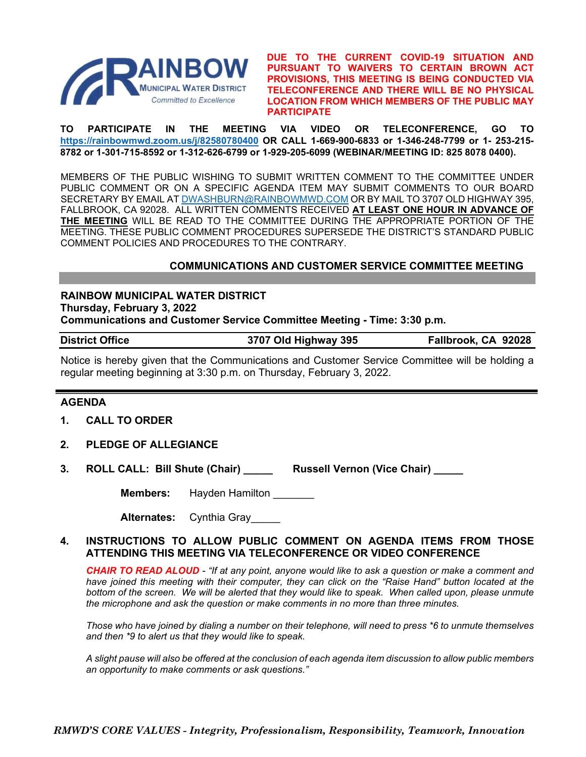

**DUE TO THE CURRENT COVID-19 SITUATION AND PURSUANT TO WAIVERS TO CERTAIN BROWN ACT PROVISIONS, THIS MEETING IS BEING CONDUCTED VIA TELECONFERENCE AND THERE WILL BE NO PHYSICAL LOCATION FROM WHICH MEMBERS OF THE PUBLIC MAY PARTICIPATE**

**TO PARTICIPATE IN THE MEETING VIA VIDEO OR TELECONFERENCE, GO TO <https://rainbowmwd.zoom.us/j/82580780400> OR CALL 1-669-900-6833 or 1-346-248-7799 or 1- 253-215- 8782 or 1-301-715-8592 or 1-312-626-6799 or 1-929-205-6099 (WEBINAR/MEETING ID: 825 8078 0400).**

MEMBERS OF THE PUBLIC WISHING TO SUBMIT WRITTEN COMMENT TO THE COMMITTEE UNDER PUBLIC COMMENT OR ON A SPECIFIC AGENDA ITEM MAY SUBMIT COMMENTS TO OUR BOARD SECRETARY BY EMAIL A[T DWASHBURN@RAINBOWMWD.COM](mailto:DWASHBURN@RAINBOWMWD.COM) OR BY MAIL TO 3707 OLD HIGHWAY 395, FALLBROOK, CA 92028. ALL WRITTEN COMMENTS RECEIVED **AT LEAST ONE HOUR IN ADVANCE OF THE MEETING** WILL BE READ TO THE COMMITTEE DURING THE APPROPRIATE PORTION OF THE MEETING. THESE PUBLIC COMMENT PROCEDURES SUPERSEDE THE DISTRICT'S STANDARD PUBLIC COMMENT POLICIES AND PROCEDURES TO THE CONTRARY.

# **COMMUNICATIONS AND CUSTOMER SERVICE COMMITTEE MEETING**

**RAINBOW MUNICIPAL WATER DISTRICT Thursday, February 3, 2022**

**Communications and Customer Service Committee Meeting - Time: 3:30 p.m.**

**District Office 3707 Old Highway 395 Fallbrook, CA 92028**

Notice is hereby given that the Communications and Customer Service Committee will be holding a regular meeting beginning at 3:30 p.m. on Thursday, February 3, 2022.

## **AGENDA**

- **1. CALL TO ORDER**
- **2. PLEDGE OF ALLEGIANCE**
- **3. ROLL CALL: Bill Shute (Chair) \_\_\_\_\_ Russell Vernon (Vice Chair) \_\_\_\_\_**

**Members:** Hayden Hamilton

**Alternates:** Cynthia Gray\_\_\_\_\_

## **4. INSTRUCTIONS TO ALLOW PUBLIC COMMENT ON AGENDA ITEMS FROM THOSE ATTENDING THIS MEETING VIA TELECONFERENCE OR VIDEO CONFERENCE**

*CHAIR TO READ ALOUD - "If at any point, anyone would like to ask a question or make a comment and have joined this meeting with their computer, they can click on the "Raise Hand" button located at the bottom of the screen. We will be alerted that they would like to speak. When called upon, please unmute the microphone and ask the question or make comments in no more than three minutes.*

*Those who have joined by dialing a number on their telephone, will need to press \*6 to unmute themselves and then \*9 to alert us that they would like to speak.*

*A slight pause will also be offered at the conclusion of each agenda item discussion to allow public members an opportunity to make comments or ask questions."*